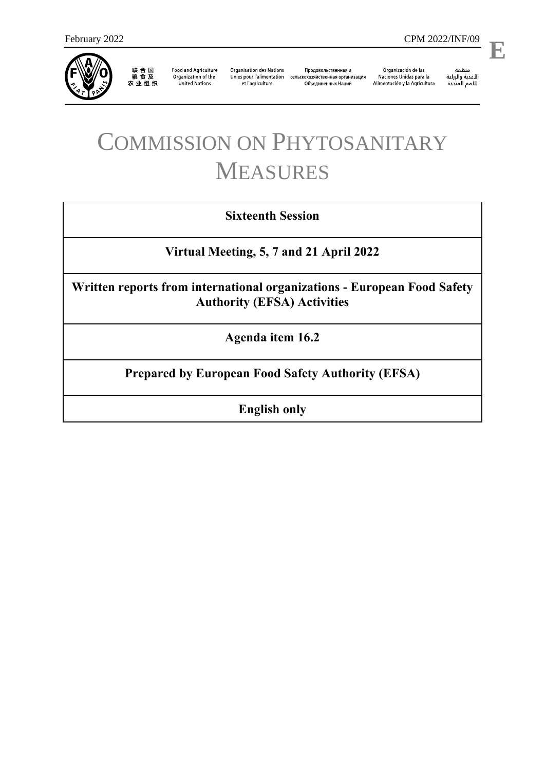

联合国<br>粮食及<br>农业组织

**Food and Agriculture** Organization of the **United Nations** 

**Organisation des Nations** et l'agriculture

Продовольственная и Unies pour l'alimentation сельскохозяйственная организация Объединенных Наций

Organización de las Naciones Unidas para la Alimentación y la Agricultura

منظمة ستنسه<br>الأغذية والزراعة<br>للأمم المتددة **E**

l,

# COMMISSION ON PHYTOSANITARY MEASURES

# **Sixteenth Session**

**Virtual Meeting, 5, 7 and 21 April 2022**

**Written reports from international organizations - European Food Safety Authority (EFSA) Activities**

**Agenda item 16.2**

**Prepared by European Food Safety Authority (EFSA)**

**English only**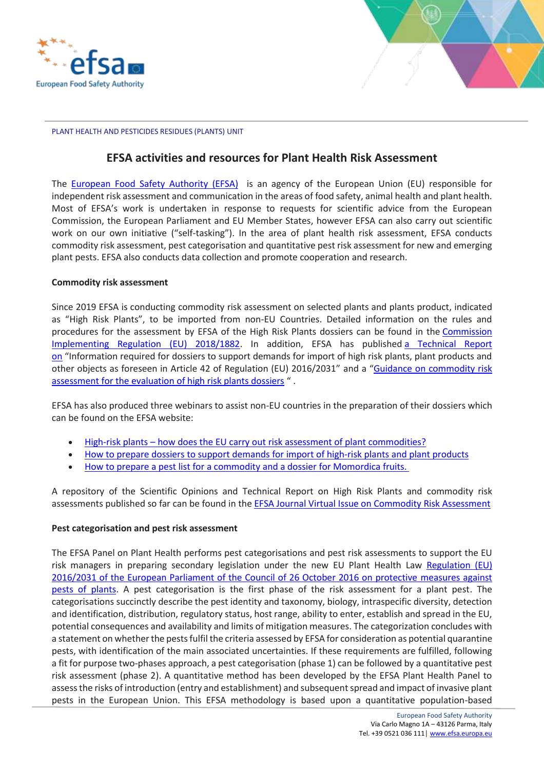



PLANT HEALTH AND PESTICIDES RESIDUES (PLANTS) UNIT

# **EFSA activities and resources for Plant Health Risk Assessment**

The [European Food Safety Authority \(EFSA\)](https://www.efsa.europa.eu/en) is an agency of the European Union (EU) responsible for independent risk assessment and communication in the areas of food safety, animal health and plant health. Most of EFSA's work is undertaken in response to requests for scientific advice from the European Commission, the European Parliament and EU Member States, however EFSA can also carry out scientific work on our own initiative ("self-tasking"). In the area of plant health risk assessment, EFSA conducts commodity risk assessment, pest categorisation and quantitative pest risk assessment for new and emerging plant pests. EFSA also conducts data collection and promote cooperation and research.

#### **Commodity risk assessment**

Since 2019 EFSA is conducting commodity risk assessment on selected plants and plants product, indicated as "High Risk Plants", to be imported from non-EU Countries. Detailed information on the rules and procedures for the assessment by EFSA of the High Risk Plants dossiers can be found in the [Commission](https://eur03.safelinks.protection.outlook.com/?url=https%3A%2F%2Feur-lex.europa.eu%2Feli%2Freg_impl%2F2018%2F1882%2Foj&data=04%7C01%7C%7C4d3e30cdaabf41e5323408d9aaa70f81%7C406a174be31548bdaa0acdaddc44250b%7C1%7C0%7C637728456760897860%7CUnknown%7CTWFpbGZsb3d8eyJWIjoiMC4wLjAwMDAiLCJQIjoiV2luMzIiLCJBTiI6Ik1haWwiLCJXVCI6Mn0%3D%7C3000&sdata=q6zmwDWWiP4M%2F0h%2BWtUWXZlk7806dSFVm5lzIn21%2BH4%3D&reserved=0) [Implementing](https://eur03.safelinks.protection.outlook.com/?url=https%3A%2F%2Feur-lex.europa.eu%2Feli%2Freg_impl%2F2018%2F1882%2Foj&data=04%7C01%7C%7C4d3e30cdaabf41e5323408d9aaa70f81%7C406a174be31548bdaa0acdaddc44250b%7C1%7C0%7C637728456760897860%7CUnknown%7CTWFpbGZsb3d8eyJWIjoiMC4wLjAwMDAiLCJQIjoiV2luMzIiLCJBTiI6Ik1haWwiLCJXVCI6Mn0%3D%7C3000&sdata=q6zmwDWWiP4M%2F0h%2BWtUWXZlk7806dSFVm5lzIn21%2BH4%3D&reserved=0) Regulation (EU) 2018/1882. In addition, EFSA has published a [Technical](https://eur03.safelinks.protection.outlook.com/?url=https%3A%2F%2Fwww.efsa.europa.eu%2Fen%2Fsupporting%2Fpub%2Fen-1492&data=04%7C01%7C%7C4d3e30cdaabf41e5323408d9aaa70f81%7C406a174be31548bdaa0acdaddc44250b%7C1%7C0%7C637728456760907804%7CUnknown%7CTWFpbGZsb3d8eyJWIjoiMC4wLjAwMDAiLCJQIjoiV2luMzIiLCJBTiI6Ik1haWwiLCJXVCI6Mn0%3D%7C3000&sdata=vOrHgTf%2B%2Blg93%2B%2BB8JcNdNwWXQVKOguZ8Pd9AZlUi%2BE%3D&reserved=0) Report [on](https://eur03.safelinks.protection.outlook.com/?url=https%3A%2F%2Fwww.efsa.europa.eu%2Fen%2Fsupporting%2Fpub%2Fen-1492&data=04%7C01%7C%7C4d3e30cdaabf41e5323408d9aaa70f81%7C406a174be31548bdaa0acdaddc44250b%7C1%7C0%7C637728456760907804%7CUnknown%7CTWFpbGZsb3d8eyJWIjoiMC4wLjAwMDAiLCJQIjoiV2luMzIiLCJBTiI6Ik1haWwiLCJXVCI6Mn0%3D%7C3000&sdata=vOrHgTf%2B%2Blg93%2B%2BB8JcNdNwWXQVKOguZ8Pd9AZlUi%2BE%3D&reserved=0) "Information required for dossiers to support demands for import of high risk plants, plant products and other objects as foreseen in Article 42 of Regulation (EU) 2016/2031" and a "[Guidance on commodity risk](https://www.efsa.europa.eu/en/efsajournal/pub/5668)  [assessment for the evaluation of high risk plants dossiers](https://www.efsa.europa.eu/en/efsajournal/pub/5668) " .

EFSA has also produced three webinars to assist non-EU countries in the preparation of their dossiers which can be found on the EFSA website:

- High-risk plants how does the EU carry out risk assessment of plant [commodities?](https://eur03.safelinks.protection.outlook.com/?url=https%3A%2F%2Fwww.efsa.europa.eu%2Fen%2Fevents%2Fevent%2Fwebinar-high-risk-plants-how-does-eu-carry-out-risk-assessment-plant&data=04%7C01%7C%7C4d3e30cdaabf41e5323408d9aaa70f81%7C406a174be31548bdaa0acdaddc44250b%7C1%7C0%7C637728456760907804%7CUnknown%7CTWFpbGZsb3d8eyJWIjoiMC4wLjAwMDAiLCJQIjoiV2luMzIiLCJBTiI6Ik1haWwiLCJXVCI6Mn0%3D%7C3000&sdata=yrGmTJRxu3cmIrE3z%2FYmo96i82CaQpbh%2Fl1HYRQ3Eww%3D&reserved=0)
- How to prepare dossiers to support [demands](https://eur03.safelinks.protection.outlook.com/?url=https%3A%2F%2Fwww.efsa.europa.eu%2Fen%2Fevents%2Fevent%2Fwebinar-how-prepare-dossiers-support-demands-import-high&data=04%7C01%7C%7C4d3e30cdaabf41e5323408d9aaa70f81%7C406a174be31548bdaa0acdaddc44250b%7C1%7C0%7C637728456760907804%7CUnknown%7CTWFpbGZsb3d8eyJWIjoiMC4wLjAwMDAiLCJQIjoiV2luMzIiLCJBTiI6Ik1haWwiLCJXVCI6Mn0%3D%7C3000&sdata=wzf6ItBsDF9Bf7W8rrhjdIb3lGIDG3%2FessmtI3%2Bhesc%3D&reserved=0) for import of high-risk plants and plant products
- How to prepare a pest list for a commodity and a dossier for [Momordica](https://eur03.safelinks.protection.outlook.com/?url=https%3A%2F%2Fwww.efsa.europa.eu%2Fen%2Fevents%2Fevent%2Fwebinar-how-prepare-pest-list-commodity-and-dossier-momordica-fruits&data=04%7C01%7C%7C4d3e30cdaabf41e5323408d9aaa70f81%7C406a174be31548bdaa0acdaddc44250b%7C1%7C0%7C637728456760917767%7CUnknown%7CTWFpbGZsb3d8eyJWIjoiMC4wLjAwMDAiLCJQIjoiV2luMzIiLCJBTiI6Ik1haWwiLCJXVCI6Mn0%3D%7C3000&sdata=dYM0YYJLeevHqgEXLEQUAVddPlQjrumQ4rT8nDqL2AY%3D&reserved=0) fruits.

A repository of the Scientific Opinions and Technical Report on High Risk Plants and commodity risk assessments published so far can be found in the [EFSA Journal Virtual Issue on Commodity Risk Assessment](https://efsa.onlinelibrary.wiley.com/doi/toc/10.2903/(ISSN)1831-4732.Commodity-risk-assessment-for-plant-health-risks)

#### **Pest categorisation and pest risk assessment**

The EFSA Panel on Plant Health performs pest categorisations and pest risk assessments to support the EU risk managers in preparing secondary legislation under the new EU Plant Health Law Regulation (EU) [2016/2031 of the European Parliament of the Council of 26 October 2016 on protective measures against](https://eur-lex.europa.eu/legal-content/EN/TXT/?uri=CELEX:32016R2031)  [pests of plants.](https://eur-lex.europa.eu/legal-content/EN/TXT/?uri=CELEX:32016R2031) A pest categorisation is the first phase of the risk assessment for a plant pest. The categorisations succinctly describe the pest identity and taxonomy, biology, intraspecific diversity, detection and identification, distribution, regulatory status, host range, ability to enter, establish and spread in the EU, potential consequences and availability and limits of mitigation measures. The categorization concludes with a statement on whether the pests fulfil the criteria assessed by EFSA for consideration as potential quarantine pests, with identification of the main associated uncertainties. If these requirements are fulfilled, following a fit for purpose two-phases approach, a pest categorisation (phase 1) can be followed by a quantitative pest risk assessment (phase 2). A quantitative method has been developed by the EFSA Plant Health Panel to assess the risks of introduction (entry and establishment) and subsequent spread and impact of invasive plant pests in the European Union. This EFSA methodology is based upon a quantitative population-based